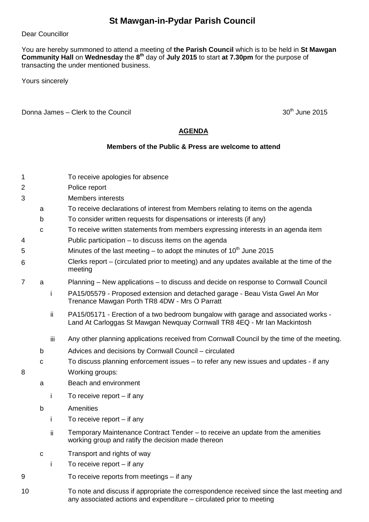## **St Mawgan-in-Pydar Parish Council**

Dear Councillor

You are hereby summoned to attend a meeting of **the Parish Council** which is to be held in **St Mawgan Community Hall** on **Wednesday** the **8 th** day of **July 2015** to start **at 7.30pm** for the purpose of transacting the under mentioned business.

Yours sincerely

Donna James – Clerk to the Council  $30<sup>th</sup>$  June 2015

## **AGENDA**

## **Members of the Public & Press are welcome to attend**

| 1  |             |     | To receive apologies for absence                                                                                                                                  |
|----|-------------|-----|-------------------------------------------------------------------------------------------------------------------------------------------------------------------|
| 2  |             |     | Police report                                                                                                                                                     |
| 3  |             |     | <b>Members interests</b>                                                                                                                                          |
|    | a           |     | To receive declarations of interest from Members relating to items on the agenda                                                                                  |
|    | b           |     | To consider written requests for dispensations or interests (if any)                                                                                              |
|    | $\mathbf C$ |     | To receive written statements from members expressing interests in an agenda item                                                                                 |
| 4  |             |     | Public participation – to discuss items on the agenda                                                                                                             |
|    |             |     | Minutes of the last meeting $-$ to adopt the minutes of 10 <sup>th</sup> June 2015                                                                                |
| 5  |             |     |                                                                                                                                                                   |
| 6  |             |     | Clerks report – (circulated prior to meeting) and any updates available at the time of the<br>meeting                                                             |
| 7  | a           |     | Planning – New applications – to discuss and decide on response to Cornwall Council                                                                               |
|    |             | i   | PA15/05579 - Proposed extension and detached garage - Beau Vista Gwel An Mor<br>Trenance Mawgan Porth TR8 4DW - Mrs O Parratt                                     |
|    |             | ii. | PA15/05171 - Erection of a two bedroom bungalow with garage and associated works -<br>Land At Carloggas St Mawgan Newquay Cornwall TR8 4EQ - Mr Ian Mackintosh    |
|    |             | iii | Any other planning applications received from Cornwall Council by the time of the meeting.                                                                        |
|    | b           |     | Advices and decisions by Cornwall Council - circulated                                                                                                            |
|    | с           |     | To discuss planning enforcement issues – to refer any new issues and updates - if any                                                                             |
| 8  |             |     | Working groups:                                                                                                                                                   |
|    | a           |     | Beach and environment                                                                                                                                             |
|    |             | j   | To receive report $-$ if any                                                                                                                                      |
|    | $\mathsf b$ |     | Amenities                                                                                                                                                         |
|    |             | Ť   | To receive report $-$ if any                                                                                                                                      |
|    |             | ii. | Temporary Maintenance Contract Tender - to receive an update from the amenities<br>working group and ratify the decision made thereon                             |
|    | $\mathbf C$ |     | Transport and rights of way                                                                                                                                       |
|    |             | j   | To receive report $-$ if any                                                                                                                                      |
| 9  |             |     | To receive reports from meetings $-$ if any                                                                                                                       |
| 10 |             |     | To note and discuss if appropriate the correspondence received since the last meeting and<br>any associated actions and expenditure - circulated prior to meeting |